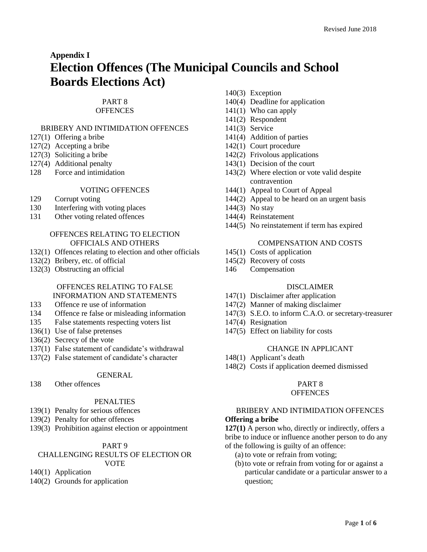# **Appendix I Election Offences (The Municipal Councils and School Boards Elections Act)**

## PART 8

## **OFFENCES**

# BRIBERY AND INTIMIDATION OFFENCES

- 127(1) Offering a bribe
- 127(2) Accepting a bribe
- 127(3) Soliciting a bribe
- 127(4) Additional penalty
- 128 Force and intimidation

## VOTING OFFENCES

- 129 Corrupt voting
- 130 Interfering with voting places
- 131 Other voting related offences

#### OFFENCES RELATING TO ELECTION OFFICIALS AND OTHERS

- 132(1) Offences relating to election and other officials
- 132(2) Bribery, etc. of official
- 132(3) Obstructing an official

# OFFENCES RELATING TO FALSE

- INFORMATION AND STATEMENTS
- 133 Offence re use of information
- 134 Offence re false or misleading information
- 135 False statements respecting voters list
- 136(1) Use of false pretenses
- 136(2) Secrecy of the vote
- 137(1) False statement of candidate's withdrawal
- 137(2) False statement of candidate's character

#### GENERAL

138 Other offences

## PENALTIES

- 139(1) Penalty for serious offences
- 139(2) Penalty for other offences
- 139(3) Prohibition against election or appointment

## PART 9

#### CHALLENGING RESULTS OF ELECTION OR VOTE

- 140(1) Application
- 140(2) Grounds for application
- 140(3) Exception
- 140(4) Deadline for application
- 141(1) Who can apply
- 141(2) Respondent
- 141(3) Service
- 141(4) Addition of parties
- 142(1) Court procedure
- 142(2) Frivolous applications
- 143(1) Decision of the court
- 143(2) Where election or vote valid despite contravention
- 144(1) Appeal to Court of Appeal
- 144(2) Appeal to be heard on an urgent basis
- 144(3) No stay
- 144(4) Reinstatement
- 144(5) No reinstatement if term has expired

#### COMPENSATION AND COSTS

- 145(1) Costs of application
- 145(2) Recovery of costs
- 146 Compensation

# DISCLAIMER

- 147(1) Disclaimer after application
- 147(2) Manner of making disclaimer
- 147(3) S.E.O. to inform C.A.O. or secretary-treasurer
- 147(4) Resignation
- 147(5) Effect on liability for costs

#### CHANGE IN APPLICANT

- 148(1) Applicant's death
- 148(2) Costs if application deemed dismissed

# PART 8

## **OFFENCES**

#### BRIBERY AND INTIMIDATION OFFENCES **Offering a bribe**

**127(1)** A person who, directly or indirectly, offers a bribe to induce or influence another person to do any of the following is guilty of an offence:

- (a) to vote or refrain from voting;
- (b)to vote or refrain from voting for or against a particular candidate or a particular answer to a question;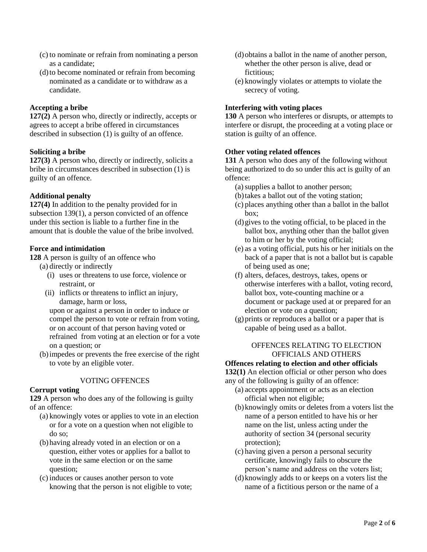- (c) to nominate or refrain from nominating a person as a candidate;
- (d)to become nominated or refrain from becoming nominated as a candidate or to withdraw as a candidate.

## **Accepting a bribe**

**127(2)** A person who, directly or indirectly, accepts or agrees to accept a bribe offered in circumstances described in subsection (1) is guilty of an offence.

## **Soliciting a bribe**

**127(3)** A person who, directly or indirectly, solicits a bribe in circumstances described in subsection (1) is guilty of an offence.

# **Additional penalty**

**127(4)** In addition to the penalty provided for in subsection 139(1), a person convicted of an offence under this section is liable to a further fine in the amount that is double the value of the bribe involved.

## **Force and intimidation**

**128** A person is guilty of an offence who

- (a) directly or indirectly
	- (i) uses or threatens to use force, violence or restraint, or
	- (ii) inflicts or threatens to inflict an injury, damage, harm or loss,

upon or against a person in order to induce or compel the person to vote or refrain from voting, or on account of that person having voted or refrained from voting at an election or for a vote on a question; or

(b)impedes or prevents the free exercise of the right to vote by an eligible voter.

## VOTING OFFENCES

## **Corrupt voting**

**129** A person who does any of the following is guilty of an offence:

- (a) knowingly votes or applies to vote in an election or for a vote on a question when not eligible to do so;
- (b)having already voted in an election or on a question, either votes or applies for a ballot to vote in the same election or on the same question;
- (c) induces or causes another person to vote knowing that the person is not eligible to vote;
- (d)obtains a ballot in the name of another person, whether the other person is alive, dead or fictitious;
- (e) knowingly violates or attempts to violate the secrecy of voting.

## **Interfering with voting places**

**130** A person who interferes or disrupts, or attempts to interfere or disrupt, the proceeding at a voting place or station is guilty of an offence.

## **Other voting related offences**

**131** A person who does any of the following without being authorized to do so under this act is guilty of an offence:

- (a)supplies a ballot to another person;
- (b)takes a ballot out of the voting station;
- (c) places anything other than a ballot in the ballot box;
- (d)gives to the voting official, to be placed in the ballot box, anything other than the ballot given to him or her by the voting official;
- (e) as a voting official, puts his or her initials on the back of a paper that is not a ballot but is capable of being used as one;
- (f) alters, defaces, destroys, takes, opens or otherwise interferes with a ballot, voting record, ballot box, vote-counting machine or a document or package used at or prepared for an election or vote on a question;
- (g)prints or reproduces a ballot or a paper that is capable of being used as a ballot.

## OFFENCES RELATING TO ELECTION OFFICIALS AND OTHERS

#### **Offences relating to election and other officials**

**132(1)** An election official or other person who does any of the following is guilty of an offence:

- (a) accepts appointment or acts as an election official when not eligible;
- (b)knowingly omits or deletes from a voters list the name of a person entitled to have his or her name on the list, unless acting under the authority of section 34 (personal security protection);
- (c) having given a person a personal security certificate, knowingly fails to obscure the person's name and address on the voters list;
- (d)knowingly adds to or keeps on a voters list the name of a fictitious person or the name of a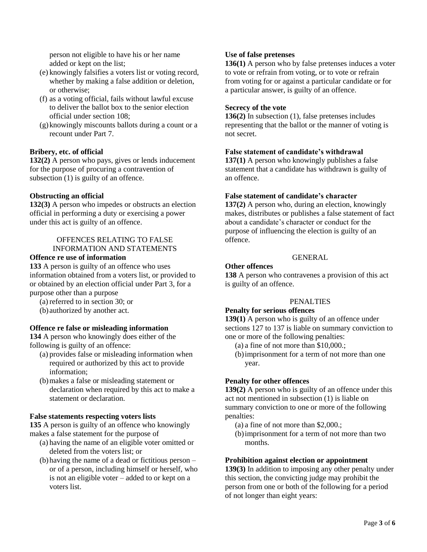person not eligible to have his or her name added or kept on the list;

- (e) knowingly falsifies a voters list or voting record, whether by making a false addition or deletion, or otherwise;
- (f) as a voting official, fails without lawful excuse to deliver the ballot box to the senior election official under section 108;
- (g) knowingly miscounts ballots during a count or a recount under Part 7.

## **Bribery, etc. of official**

**132(2)** A person who pays, gives or lends inducement for the purpose of procuring a contravention of subsection (1) is guilty of an offence.

## **Obstructing an official**

**132(3)** A person who impedes or obstructs an election official in performing a duty or exercising a power under this act is guilty of an offence.

## OFFENCES RELATING TO FALSE INFORMATION AND STATEMENTS

#### **Offence re use of information**

**133** A person is guilty of an offence who uses information obtained from a voters list, or provided to or obtained by an election official under Part 3, for a purpose other than a purpose

(a) referred to in section 30; or

(b) authorized by another act.

## **Offence re false or misleading information**

**134** A person who knowingly does either of the following is guilty of an offence:

- (a) provides false or misleading information when required or authorized by this act to provide information;
- (b)makes a false or misleading statement or declaration when required by this act to make a statement or declaration.

## **False statements respecting voters lists**

**135** A person is guilty of an offence who knowingly makes a false statement for the purpose of

- (a) having the name of an eligible voter omitted or deleted from the voters list; or
- (b)having the name of a dead or fictitious person or of a person, including himself or herself, who is not an eligible voter – added to or kept on a voters list.

#### **Use of false pretenses**

**136(1)** A person who by false pretenses induces a voter to vote or refrain from voting, or to vote or refrain from voting for or against a particular candidate or for a particular answer, is guilty of an offence.

#### **Secrecy of the vote**

**136(2)** In subsection (1), false pretenses includes representing that the ballot or the manner of voting is not secret.

#### **False statement of candidate's withdrawal**

**137(1)** A person who knowingly publishes a false statement that a candidate has withdrawn is guilty of an offence.

#### **False statement of candidate's character**

**137(2)** A person who, during an election, knowingly makes, distributes or publishes a false statement of fact about a candidate's character or conduct for the purpose of influencing the election is guilty of an offence.

# GENERAL

## **Other offences**

**138** A person who contravenes a provision of this act is guilty of an offence.

#### PENALTIES

#### **Penalty for serious offences**

**139(1)** A person who is guilty of an offence under sections 127 to 137 is liable on summary conviction to one or more of the following penalties:

- (a) a fine of not more than \$10,000.;
- (b)imprisonment for a term of not more than one year.

## **Penalty for other offences**

**139(2)** A person who is guilty of an offence under this act not mentioned in subsection (1) is liable on summary conviction to one or more of the following penalties:

- (a) a fine of not more than \$2,000.;
- (b)imprisonment for a term of not more than two months.

## **Prohibition against election or appointment**

**139(3)** In addition to imposing any other penalty under this section, the convicting judge may prohibit the person from one or both of the following for a period of not longer than eight years: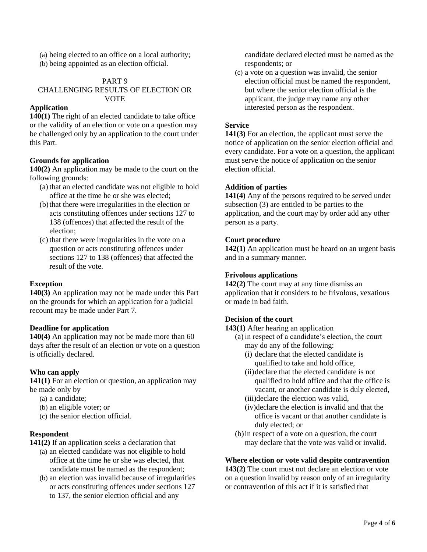(a) being elected to an office on a local authority;

(b) being appointed as an election official.

## PART 9 CHALLENGING RESULTS OF ELECTION OR VOTE

# **Application**

**140(1)** The right of an elected candidate to take office or the validity of an election or vote on a question may be challenged only by an application to the court under this Part.

## **Grounds for application**

**140(2)** An application may be made to the court on the following grounds:

- (a) that an elected candidate was not eligible to hold office at the time he or she was elected;
- (b)that there were irregularities in the election or acts constituting offences under sections 127 to 138 (offences) that affected the result of the election;
- (c) that there were irregularities in the vote on a question or acts constituting offences under sections 127 to 138 (offences) that affected the result of the vote.

# **Exception**

**140(3)** An application may not be made under this Part on the grounds for which an application for a judicial recount may be made under Part 7.

# **Deadline for application**

**140(4)** An application may not be made more than 60 days after the result of an election or vote on a question is officially declared.

# **Who can apply**

**141(1)** For an election or question, an application may be made only by

- (a) a candidate;
- (b) an eligible voter; or
- (c) the senior election official.

## **Respondent**

**141(2)** If an application seeks a declaration that

- (a) an elected candidate was not eligible to hold office at the time he or she was elected, that candidate must be named as the respondent;
- (b) an election was invalid because of irregularities or acts constituting offences under sections 127 to 137, the senior election official and any

candidate declared elected must be named as the respondents; or

(c) a vote on a question was invalid, the senior election official must be named the respondent, but where the senior election official is the applicant, the judge may name any other interested person as the respondent.

## **Service**

**141(3)** For an election, the applicant must serve the notice of application on the senior election official and every candidate. For a vote on a question, the applicant must serve the notice of application on the senior election official.

## **Addition of parties**

**141(4)** Any of the persons required to be served under subsection (3) are entitled to be parties to the application, and the court may by order add any other person as a party.

## **Court procedure**

**142(1)** An application must be heard on an urgent basis and in a summary manner.

## **Frivolous applications**

**142(2)** The court may at any time dismiss an application that it considers to be frivolous, vexatious or made in bad faith.

## **Decision of the court**

**143(1)** After hearing an application

- (a) in respect of a candidate's election, the court may do any of the following:
	- (i) declare that the elected candidate is qualified to take and hold office,
	- (ii)declare that the elected candidate is not qualified to hold office and that the office is vacant, or another candidate is duly elected, (iii)declare the election was valid,
	- (iv)declare the election is invalid and that the office is vacant or that another candidate is duly elected; or
- (b)in respect of a vote on a question, the court may declare that the vote was valid or invalid.

# **Where election or vote valid despite contravention**

**143(2)** The court must not declare an election or vote on a question invalid by reason only of an irregularity or contravention of this act if it is satisfied that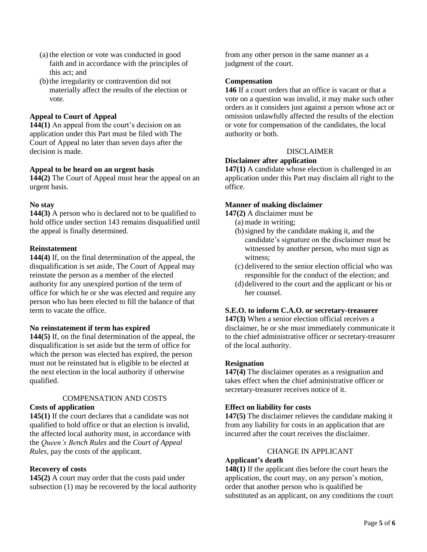- (a) the election or vote was conducted in good faith and in accordance with the principles of this act; and
- (b)the irregularity or contravention did not materially affect the results of the election or vote.

## **Appeal to Court of Appeal**

**144(1)** An appeal from the court's decision on an application under this Part must be filed with The Court of Appeal no later than seven days after the decision is made.

## **Appeal to be heard on an urgent basis**

**144(2)** The Court of Appeal must hear the appeal on an urgent basis.

## **No stay**

**144(3)** A person who is declared not to be qualified to hold office under section 143 remains disqualified until the appeal is finally determined.

## **Reinstatement**

**144(4)** If, on the final determination of the appeal, the disqualification is set aside, The Court of Appeal may reinstate the person as a member of the elected authority for any unexpired portion of the term of office for which he or she was elected and require any person who has been elected to fill the balance of that term to vacate the office.

## **No reinstatement if term has expired**

**144(5)** If, on the final determination of the appeal, the disqualification is set aside but the term of office for which the person was elected has expired, the person must not be reinstated but is eligible to be elected at the next election in the local authority if otherwise qualified.

# COMPENSATION AND COSTS

## **Costs of application**

**145(1)** If the court declares that a candidate was not qualified to hold office or that an election is invalid, the affected local authority must, in accordance with the *Queen's Bench Rules* and the *Court of Appeal Rules*, pay the costs of the applicant.

## **Recovery of costs**

**145(2)** A court may order that the costs paid under subsection (1) may be recovered by the local authority from any other person in the same manner as a judgment of the court.

## **Compensation**

**146** If a court orders that an office is vacant or that a vote on a question was invalid, it may make such other orders as it considers just against a person whose act or omission unlawfully affected the results of the election or vote for compensation of the candidates, the local authority or both.

## DISCLAIMER

## **Disclaimer after application**

**147(1)** A candidate whose election is challenged in an application under this Part may disclaim all right to the office.

#### **Manner of making disclaimer**

**147(2)** A disclaimer must be

- (a) made in writing;
- (b)signed by the candidate making it, and the candidate's signature on the disclaimer must be witnessed by another person, who must sign as witness;
- (c) delivered to the senior election official who was responsible for the conduct of the election; and
- (d)delivered to the court and the applicant or his or her counsel.

## **S.E.O. to inform C.A.O. or secretary-treasurer**

**147(3)** When a senior election official receives a disclaimer, he or she must immediately communicate it to the chief administrative officer or secretary-treasurer of the local authority.

#### **Resignation**

**147(4)** The disclaimer operates as a resignation and takes effect when the chief administrative officer or secretary-treasurer receives notice of it.

## **Effect on liability for costs**

**147(5)** The disclaimer relieves the candidate making it from any liability for costs in an application that are incurred after the court receives the disclaimer.

#### CHANGE IN APPLICANT

## **Applicant's death**

**148(1)** If the applicant dies before the court hears the application, the court may, on any person's motion, order that another person who is qualified be substituted as an applicant, on any conditions the court